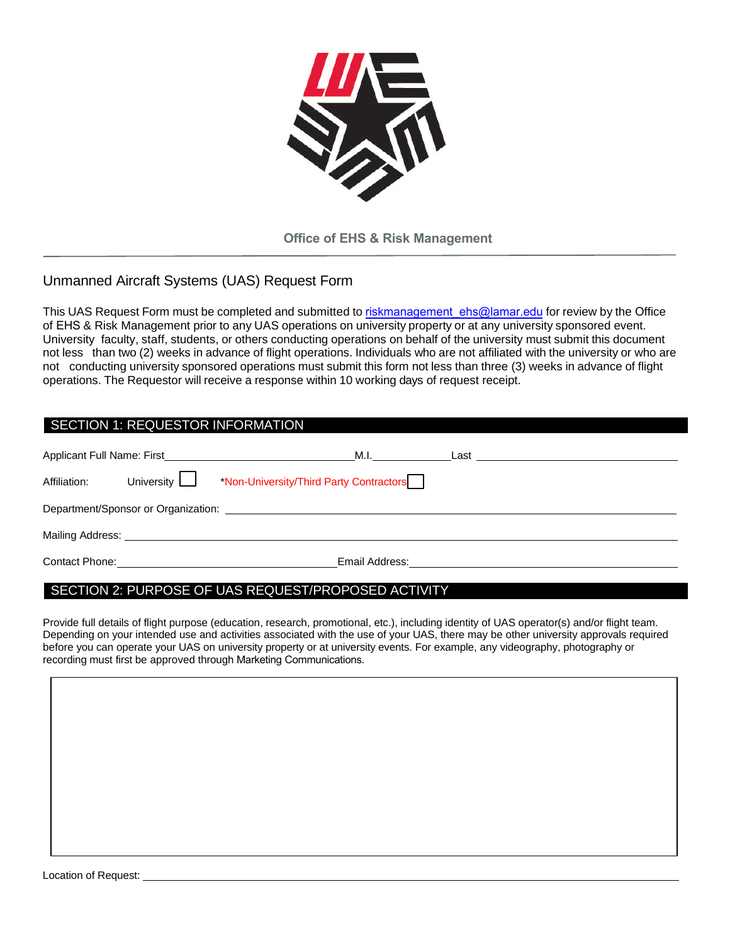

**Office of EHS & Risk Management**

## Unmanned Aircraft Systems (UAS) Request Form

This UAS Request Form must be completed and submitted to riskmanagement ehs@lamar.edu for review by the Office of EHS & Risk Management prior to any UAS operations on university property or at any university sponsored event. University faculty, staff, students, or others conducting operations on behalf of the university must submit this document not less than two (2) weeks in advance of flight operations. Individuals who are not affiliated with the university or who are not conducting university sponsored operations must submit this form not less than three (3) weeks in advance of flight operations. The Requestor will receive a response within 10 working days of request receipt.

| SECTION 1: REQUESTOR INFORMATION                                                                                                                                                                                               |                   |                                                                                                                     |                               |  |  |
|--------------------------------------------------------------------------------------------------------------------------------------------------------------------------------------------------------------------------------|-------------------|---------------------------------------------------------------------------------------------------------------------|-------------------------------|--|--|
|                                                                                                                                                                                                                                |                   |                                                                                                                     | M.I. Last                     |  |  |
| Affiliation:                                                                                                                                                                                                                   | University $\Box$ | *Non-University/Third Party Contractors                                                                             |                               |  |  |
| Department/Sponsor or Organization: Department of the Contract of the Contract of the Contract of the Contract of the Contract of the Contract of the Contract of the Contract of the Contract of the Contract of the Contract |                   |                                                                                                                     |                               |  |  |
|                                                                                                                                                                                                                                |                   | Mailing Address: Website and Services and Services and Services and Services and Services and Services and Services |                               |  |  |
|                                                                                                                                                                                                                                |                   |                                                                                                                     | Email Address: Email Address: |  |  |

## SECTION 2: PURPOSE OF UAS REQUEST/PROPOSED ACTIVITY

Provide full details of flight purpose (education, research, promotional, etc.), including identity of UAS operator(s) and/or flight team. Depending on your intended use and activities associated with the use of your UAS, there may be other university approvals required before you can operate your UAS on university property or at university events. For example, any videography, photography or recording must first be approved through Marketing Communications.